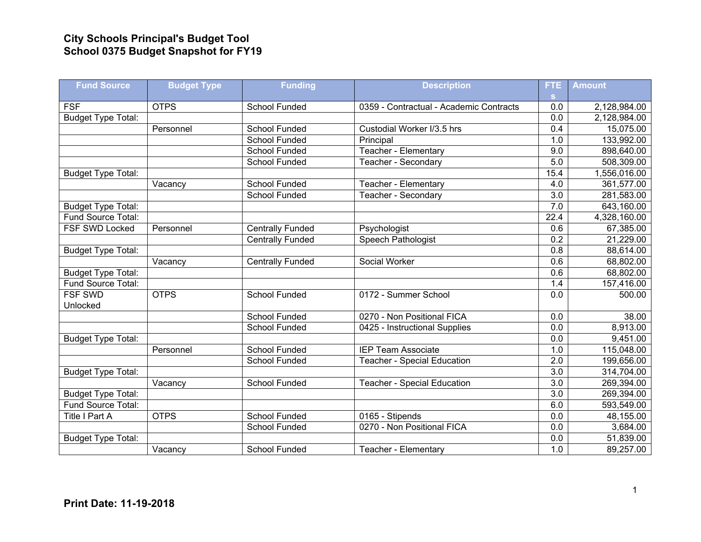## **City Schools Principal's Budget Tool School 0375 Budget Snapshot for FY19**

| <b>Fund Source</b>        | <b>Budget Type</b> | <b>Funding</b>          | <b>Description</b>                      | <b>FTE</b>       | <b>Amount</b> |
|---------------------------|--------------------|-------------------------|-----------------------------------------|------------------|---------------|
|                           |                    |                         |                                         | S.               |               |
| <b>FSF</b>                | <b>OTPS</b>        | School Funded           | 0359 - Contractual - Academic Contracts | 0.0              | 2,128,984.00  |
| <b>Budget Type Total:</b> |                    |                         |                                         | 0.0              | 2,128,984.00  |
|                           | Personnel          | <b>School Funded</b>    | Custodial Worker I/3.5 hrs              | 0.4              | 15,075.00     |
|                           |                    | <b>School Funded</b>    | Principal                               | 1.0              | 133,992.00    |
|                           |                    | School Funded           | Teacher - Elementary                    | 9.0              | 898,640.00    |
|                           |                    | School Funded           | Teacher - Secondary                     | 5.0              | 508,309.00    |
| <b>Budget Type Total:</b> |                    |                         |                                         | 15.4             | 1,556,016.00  |
|                           | Vacancy            | <b>School Funded</b>    | Teacher - Elementary                    | 4.0              | 361,577.00    |
|                           |                    | <b>School Funded</b>    | Teacher - Secondary                     | 3.0              | 281,583.00    |
| <b>Budget Type Total:</b> |                    |                         |                                         | 7.0              | 643,160.00    |
| Fund Source Total:        |                    |                         |                                         | 22.4             | 4,328,160.00  |
| FSF SWD Locked            | Personnel          | <b>Centrally Funded</b> | Psychologist                            | 0.6              | 67,385.00     |
|                           |                    | <b>Centrally Funded</b> | Speech Pathologist                      | 0.2              | 21,229.00     |
| Budget Type Total:        |                    |                         |                                         | 0.8              | 88,614.00     |
|                           | Vacancy            | <b>Centrally Funded</b> | Social Worker                           | 0.6              | 68,802.00     |
| <b>Budget Type Total:</b> |                    |                         |                                         | 0.6              | 68,802.00     |
| Fund Source Total:        |                    |                         |                                         | 1.4              | 157,416.00    |
| <b>FSF SWD</b>            | <b>OTPS</b>        | <b>School Funded</b>    | 0172 - Summer School                    | 0.0              | 500.00        |
| Unlocked                  |                    |                         |                                         |                  |               |
|                           |                    | School Funded           | 0270 - Non Positional FICA              | 0.0              | 38.00         |
|                           |                    | School Funded           | 0425 - Instructional Supplies           | 0.0              | 8,913.00      |
| <b>Budget Type Total:</b> |                    |                         |                                         | 0.0              | 9,451.00      |
|                           | Personnel          | <b>School Funded</b>    | <b>IEP Team Associate</b>               | 1.0              | 115,048.00    |
|                           |                    | School Funded           | <b>Teacher - Special Education</b>      | $\overline{2.0}$ | 199,656.00    |
| <b>Budget Type Total:</b> |                    |                         |                                         | $\overline{3.0}$ | 314,704.00    |
|                           | Vacancy            | School Funded           | <b>Teacher - Special Education</b>      | 3.0              | 269,394.00    |
| <b>Budget Type Total:</b> |                    |                         |                                         | 3.0              | 269,394.00    |
| Fund Source Total:        |                    |                         |                                         | 6.0              | 593,549.00    |
| Title I Part A            | <b>OTPS</b>        | <b>School Funded</b>    | 0165 - Stipends                         | 0.0              | 48,155.00     |
|                           |                    | School Funded           | 0270 - Non Positional FICA              | $\overline{0.0}$ | 3,684.00      |
| <b>Budget Type Total:</b> |                    |                         |                                         | 0.0              | 51,839.00     |
|                           | Vacancy            | <b>School Funded</b>    | Teacher - Elementary                    | 1.0              | 89,257.00     |